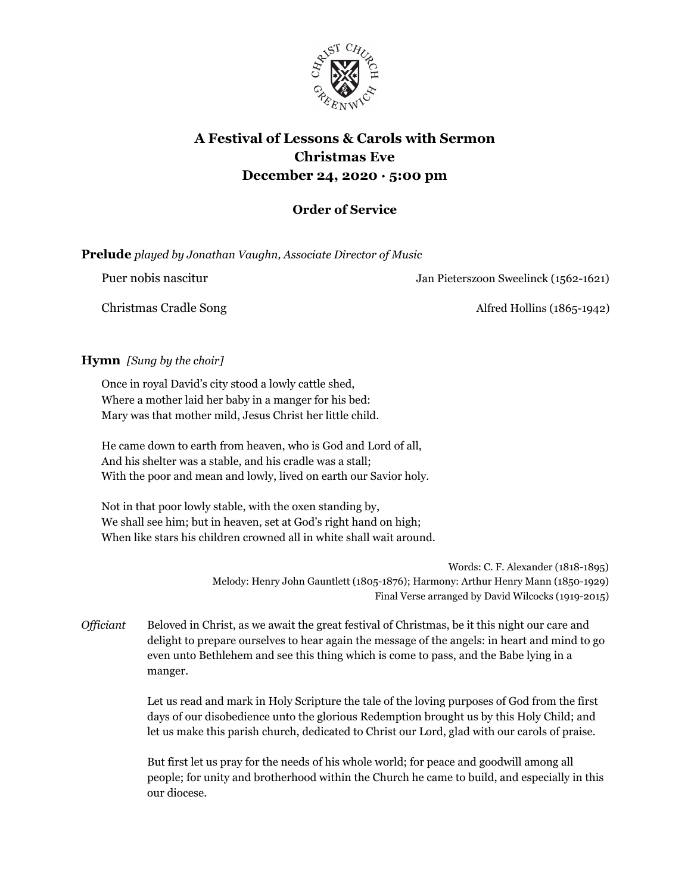

# **A Festival of Lessons & Carols with Sermon Christmas Eve December 24, 2020 · 5:00 pm**

# **Order of Service**

| <b>Prelude</b> played by Jonathan Vaughn, Associate Director of Music |  |  |  |  |  |  |
|-----------------------------------------------------------------------|--|--|--|--|--|--|
|-----------------------------------------------------------------------|--|--|--|--|--|--|

Puer nobis nascitur Jan Pieterszoon Sweelinck (1562-1621)

Christmas Cradle Song Alfred Hollins (1865-1942)

# **Hymn** *[Sung by the choir]*

Once in royal David's city stood a lowly cattle shed, Where a mother laid her baby in a manger for his bed: Mary was that mother mild, Jesus Christ her little child.

He came down to earth from heaven, who is God and Lord of all, And his shelter was a stable, and his cradle was a stall; With the poor and mean and lowly, lived on earth our Savior holy.

Not in that poor lowly stable, with the oxen standing by, We shall see him; but in heaven, set at God's right hand on high; When like stars his children crowned all in white shall wait around.

> Words: C. F. Alexander (1818-1895) Melody: Henry John Gauntlett (1805-1876); Harmony: Arthur Henry Mann (1850-1929) Final Verse arranged by David Wilcocks (1919-2015)

*Of iciant* Beloved in Christ, as we await the great festival of Christmas, be it this night our care and delight to prepare ourselves to hear again the message of the angels: in heart and mind to go even unto Bethlehem and see this thing which is come to pass, and the Babe lying in a manger.

> Let us read and mark in Holy Scripture the tale of the loving purposes of God from the first days of our disobedience unto the glorious Redemption brought us by this Holy Child; and let us make this parish church, dedicated to Christ our Lord, glad with our carols of praise.

But first let us pray for the needs of his whole world; for peace and goodwill among all people; for unity and brotherhood within the Church he came to build, and especially in this our diocese.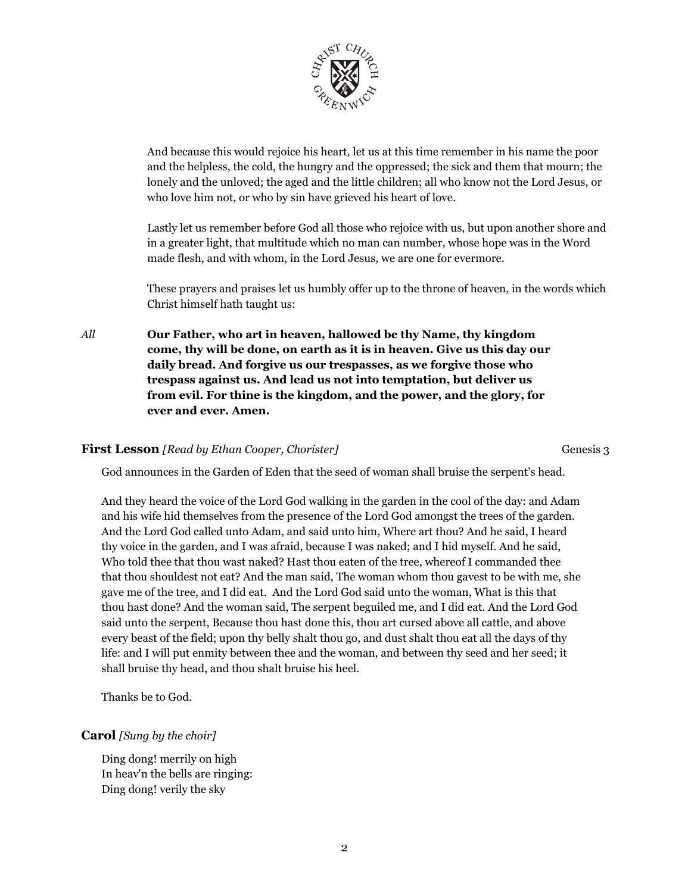

And because this would rejoice his heart, let us at this time remember in his name the poor and the helpless, the cold, the hungry and the oppressed; the sick and them that mourn; the lonely and the unloved; the aged and the little children; all who know not the Lord Jesus, or who love him not, or who by sin have grieved his heart of love.

Lastly let us remember before God all those who rejoice with us, but upon another shore and in a greater light, that multitude which no man can number, whose hope was in the Word made flesh, and with whom, in the Lord Jesus, we are one for evermore.

These prayers and praises let us humbly offer up to the throne of heaven, in the words which Christ himself hath taught us:

*All* **Our Father, who art in heaven, hallowed be thy Name, thy kingdom come, thy will be done, on earth as it is in heaven. Give us this day our daily bread. And forgive us our trespasses, as we forgive those who trespass against us. And lead us not into temptation, but deliver us from evil. For thine is the kingdom, and the power, and the glory, for ever and ever. Amen.**

#### **First Lesson** *[Read by Ethan Cooper, Chorister]* Genesis 3

God announces in the Garden of Eden that the seed of woman shall bruise the serpent's head.

And they heard the voice of the Lord God walking in the garden in the cool of the day: and Adam and his wife hid themselves from the presence of the Lord God amongst the trees of the garden. And the Lord God called unto Adam, and said unto him, Where art thou? And he said, I heard thy voice in the garden, and I was afraid, because I was naked; and I hid myself. And he said, Who told thee that thou wast naked? Hast thou eaten of the tree, whereof I commanded thee that thou shouldest not eat? And the man said, The woman whom thou gavest to be with me, she gave me of the tree, and I did eat. And the Lord God said unto the woman, What is this that thou hast done? And the woman said, The serpent beguiled me, and I did eat. And the Lord God said unto the serpent, Because thou hast done this, thou art cursed above all cattle, and above every beast of the field; upon thy belly shalt thou go, and dust shalt thou eat all the days of thy life: and I will put enmity between thee and the woman, and between thy seed and her seed; it shall bruise thy head, and thou shalt bruise his heel.

Thanks be to God.

#### **Carol** *[Sung by the choir]*

Ding dong! merrily on high In heav'n the bells are ringing: Ding dong! verily the sky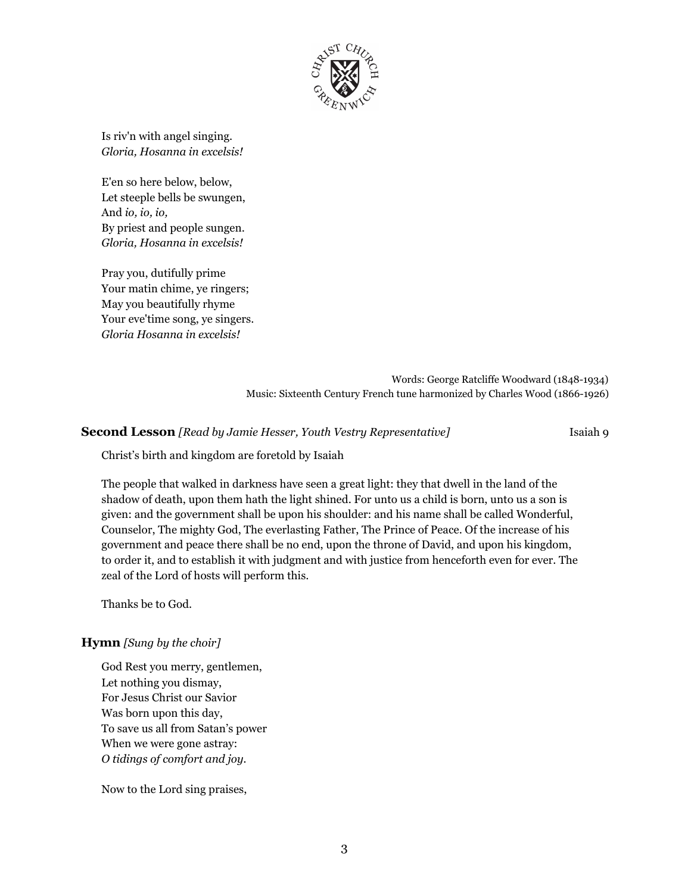

Is riv'n with angel singing. *Gloria, Hosanna in excelsis!*

E'en so here below, below, Let steeple bells be swungen, And *io, io, io,* By priest and people sungen. *Gloria, Hosanna in excelsis!*

Pray you, dutifully prime Your matin chime, ye ringers; May you beautifully rhyme Your eve'time song, ye singers. *Gloria Hosanna in excelsis!*

> Words: George Ratcliffe Woodward (1848-1934) Music: Sixteenth Century French tune harmonized by Charles Wood (1866-1926)

#### **Second Lesson** *[Read by Jamie Hesser, Youth Vestry Representative]* Isaiah 9

Christ's birth and kingdom are foretold by Isaiah

The people that walked in darkness have seen a great light: they that dwell in the land of the shadow of death, upon them hath the light shined. For unto us a child is born, unto us a son is given: and the government shall be upon his shoulder: and his name shall be called Wonderful, Counselor, The mighty God, The everlasting Father, The Prince of Peace. Of the increase of his government and peace there shall be no end, upon the throne of David, and upon his kingdom, to order it, and to establish it with judgment and with justice from henceforth even for ever. The zeal of the Lord of hosts will perform this.

Thanks be to God.

#### **Hymn** *[Sung by the choir]*

God Rest you merry, gentlemen, Let nothing you dismay, For Jesus Christ our Savior Was born upon this day, To save us all from Satan's power When we were gone astray: *O tidings of comfort and joy.*

Now to the Lord sing praises,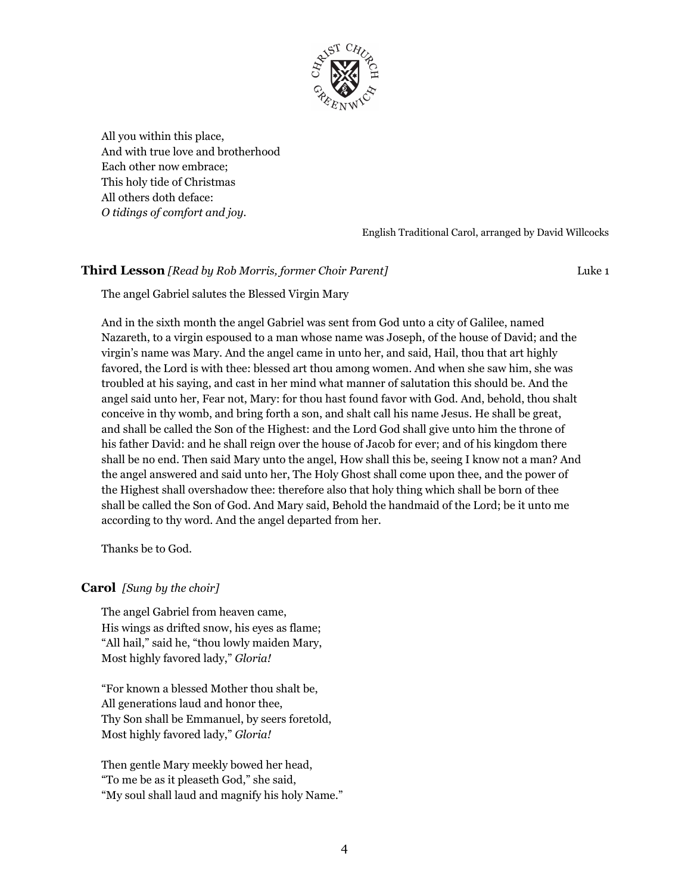

All you within this place, And with true love and brotherhood Each other now embrace; This holy tide of Christmas All others doth deface: *O tidings of comfort and joy.*

English Traditional Carol, arranged by David Willcocks

### **Third Lesson** *[Read by Rob Morris, former Choir Parent]* Luke 1

The angel Gabriel salutes the Blessed Virgin Mary

And in the sixth month the angel Gabriel was sent from God unto a city of Galilee, named Nazareth, to a virgin espoused to a man whose name was Joseph, of the house of David; and the virgin's name was Mary. And the angel came in unto her, and said, Hail, thou that art highly favored, the Lord is with thee: blessed art thou among women. And when she saw him, she was troubled at his saying, and cast in her mind what manner of salutation this should be. And the angel said unto her, Fear not, Mary: for thou hast found favor with God. And, behold, thou shalt conceive in thy womb, and bring forth a son, and shalt call his name Jesus. He shall be great, and shall be called the Son of the Highest: and the Lord God shall give unto him the throne of his father David: and he shall reign over the house of Jacob for ever; and of his kingdom there shall be no end. Then said Mary unto the angel, How shall this be, seeing I know not a man? And the angel answered and said unto her, The Holy Ghost shall come upon thee, and the power of the Highest shall overshadow thee: therefore also that holy thing which shall be born of thee shall be called the Son of God. And Mary said, Behold the handmaid of the Lord; be it unto me according to thy word. And the angel departed from her.

Thanks be to God.

#### **Carol** *[Sung by the choir]*

The angel Gabriel from heaven came, His wings as drifted snow, his eyes as flame; "All hail," said he, "thou lowly maiden Mary, Most highly favored lady," *Gloria!*

"For known a blessed Mother thou shalt be, All generations laud and honor thee, Thy Son shall be Emmanuel, by seers foretold, Most highly favored lady," *Gloria!*

Then gentle Mary meekly bowed her head, "To me be as it pleaseth God," she said, "My soul shall laud and magnify his holy Name."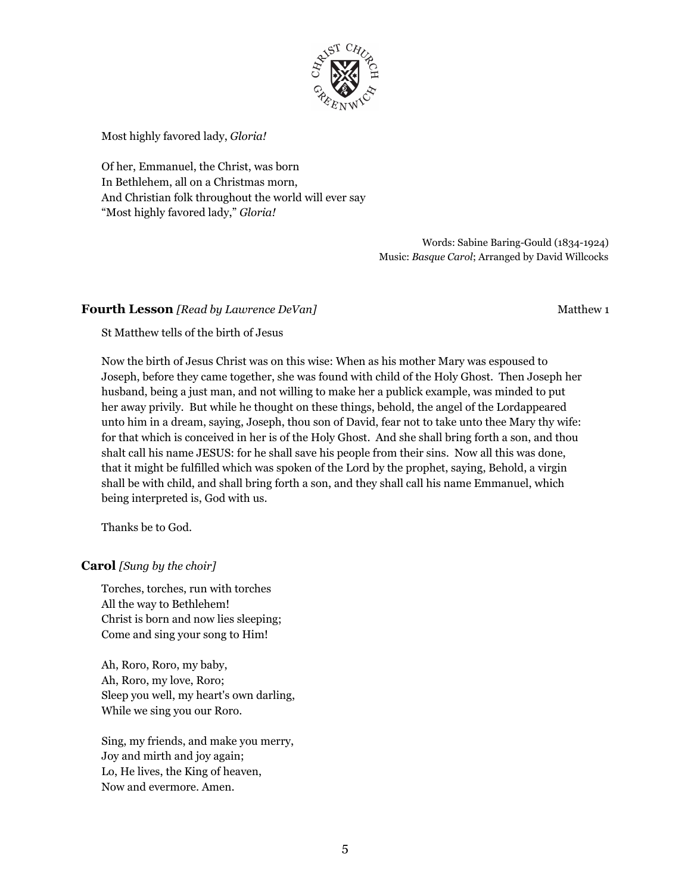

Most highly favored lady, *Gloria!*

Of her, Emmanuel, the Christ, was born In Bethlehem, all on a Christmas morn, And Christian folk throughout the world will ever say "Most highly favored lady," *Gloria!*

> Words: Sabine Baring-Gould (1834-1924) Music: *Basque Carol*; Arranged by David Willcocks

### **Fourth Lesson** *[Read by Lawrence DeVan]* Matthew 1

St Matthew tells of the birth of Jesus

Now the birth of Jesus Christ was on this wise: When as his mother Mary was espoused to Joseph, before they came together, she was found with child of the Holy Ghost. Then Joseph her husband, being a just man, and not willing to make her a publick example, was minded to put her away privily. But while he thought on these things, behold, the angel of the Lordappeared unto him in a dream, saying, Joseph, thou son of David, fear not to take unto thee Mary thy wife: for that which is conceived in her is of the Holy Ghost. And she shall bring forth a son, and thou shalt call his name JESUS: for he shall save his people from their sins. Now all this was done, that it might be fulfilled which was spoken of the Lord by the prophet, saying, Behold, a virgin shall be with child, and shall bring forth a son, and they shall call his name Emmanuel, which being interpreted is, God with us.

Thanks be to God.

#### **Carol** *[Sung by the choir]*

Torches, torches, run with torches All the way to Bethlehem! Christ is born and now lies sleeping; Come and sing your song to Him!

Ah, Roro, Roro, my baby, Ah, Roro, my love, Roro; Sleep you well, my heart's own darling, While we sing you our Roro.

Sing, my friends, and make you merry, Joy and mirth and joy again; Lo, He lives, the King of heaven, Now and evermore. Amen.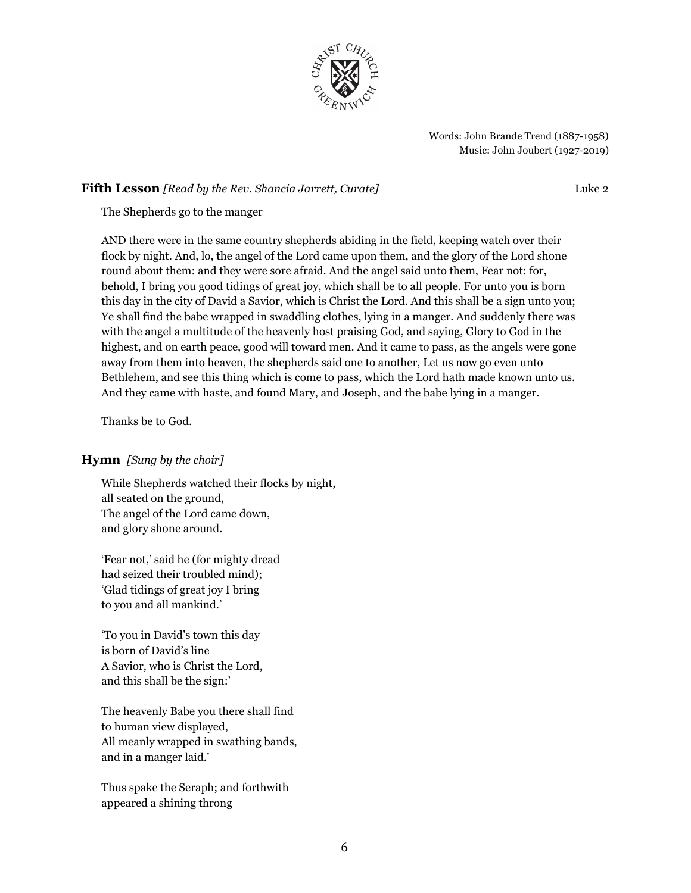

Words: John Brande Trend (1887-1958) Music: John Joubert (1927-2019)

#### **Fifth Lesson** *[Read by the Rev. Shancia Jarrett, Curate]* Luke 2

The Shepherds go to the manger

AND there were in the same country shepherds abiding in the field, keeping watch over their flock by night. And, lo, the angel of the Lord came upon them, and the glory of the Lord shone round about them: and they were sore afraid. And the angel said unto them, Fear not: for, behold, I bring you good tidings of great joy, which shall be to all people. For unto you is born this day in the city of David a Savior, which is Christ the Lord. And this shall be a sign unto you; Ye shall find the babe wrapped in swaddling clothes, lying in a manger. And suddenly there was with the angel a multitude of the heavenly host praising God, and saying, Glory to God in the highest, and on earth peace, good will toward men. And it came to pass, as the angels were gone away from them into heaven, the shepherds said one to another, Let us now go even unto Bethlehem, and see this thing which is come to pass, which the Lord hath made known unto us. And they came with haste, and found Mary, and Joseph, and the babe lying in a manger.

Thanks be to God.

# **Hymn** *[Sung by the choir]*

While Shepherds watched their flocks by night, all seated on the ground, The angel of the Lord came down, and glory shone around.

'Fear not,' said he (for mighty dread had seized their troubled mind); 'Glad tidings of great joy I bring to you and all mankind.'

'To you in David's town this day is born of David's line A Savior, who is Christ the Lord, and this shall be the sign:'

The heavenly Babe you there shall find to human view displayed, All meanly wrapped in swathing bands, and in a manger laid.'

Thus spake the Seraph; and forthwith appeared a shining throng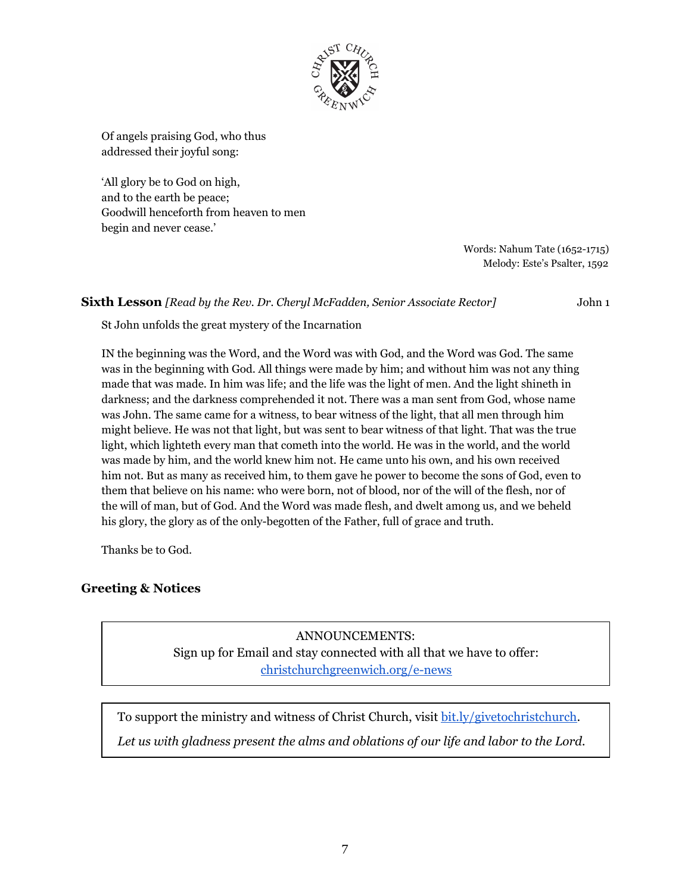

Of angels praising God, who thus addressed their joyful song:

'All glory be to God on high, and to the earth be peace; Goodwill henceforth from heaven to men begin and never cease.'

> Words: Nahum Tate (1652-1715) Melody: Este's Psalter, 1592

**Sixth Lesson** *[Read by the Rev. Dr. Cheryl McFadden, Senior Associate Rector]* John 1

St John unfolds the great mystery of the Incarnation

IN the beginning was the Word, and the Word was with God, and the Word was God. The same was in the beginning with God. All things were made by him; and without him was not any thing made that was made. In him was life; and the life was the light of men. And the light shineth in darkness; and the darkness comprehended it not. There was a man sent from God, whose name was John. The same came for a witness, to bear witness of the light, that all men through him might believe. He was not that light, but was sent to bear witness of that light. That was the true light, which lighteth every man that cometh into the world. He was in the world, and the world was made by him, and the world knew him not. He came unto his own, and his own received him not. But as many as received him, to them gave he power to become the sons of God, even to them that believe on his name: who were born, not of blood, nor of the will of the flesh, nor of the will of man, but of God. And the Word was made flesh, and dwelt among us, and we beheld his glory, the glory as of the only-begotten of the Father, full of grace and truth.

Thanks be to God.

# **Greeting & Notices**

ANNOUNCEMENTS: Sign up for Email and stay connected with all that we have to offer: [christchurchgreenwich.org/e-news](https://christchurchgreenwich.org/e-news/)

To support the ministry and witness of Christ Church, visit [bit.ly/givetochristchurch.](http://bit.ly/givetochristchurch)

*Let us with gladness present the alms and oblations of our life and labor to the Lord.*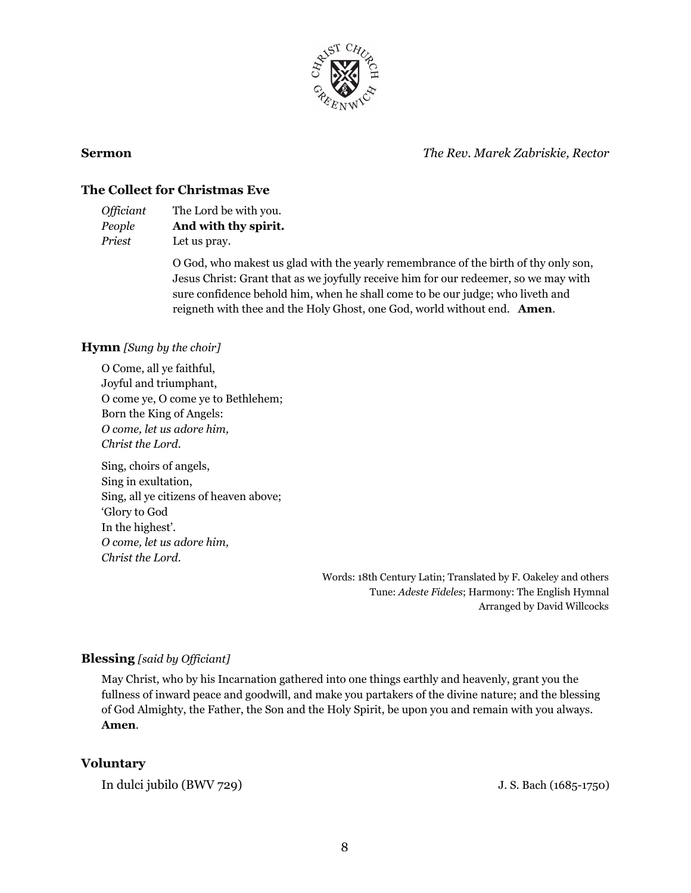

**Sermon** *The Rev. Marek Zabriskie, Rector*

# **The Collect for Christmas Eve**

| <i><b>Officiant</b></i> | The Lord be with you. |
|-------------------------|-----------------------|
| People                  | And with thy spirit.  |
| Priest                  | Let us pray.          |

O God, who makest us glad with the yearly remembrance of the birth of thy only son, Jesus Christ: Grant that as we joyfully receive him for our redeemer, so we may with sure confidence behold him, when he shall come to be our judge; who liveth and reigneth with thee and the Holy Ghost, one God, world without end. **Amen**.

# **Hymn** *[Sung by the choir]*

O Come, all ye faithful, Joyful and triumphant, O come ye, O come ye to Bethlehem; Born the King of Angels: *O come, let us adore him, Christ the Lord.*

Sing, choirs of angels, Sing in exultation, Sing, all ye citizens of heaven above; 'Glory to God In the highest'. *O come, let us adore him, Christ the Lord.*

> Words: 18th Century Latin; Translated by F. Oakeley and others Tune: *Adeste Fideles*; Harmony: The English Hymnal Arranged by David Willcocks

# **Blessing** *[said by Of iciant]*

May Christ, who by his Incarnation gathered into one things earthly and heavenly, grant you the fullness of inward peace and goodwill, and make you partakers of the divine nature; and the blessing of God Almighty, the Father, the Son and the Holy Spirit, be upon you and remain with you always. **Amen**.

#### **Voluntary**

In dulci jubilo (BWV 729) J.S. Bach (1685-1750)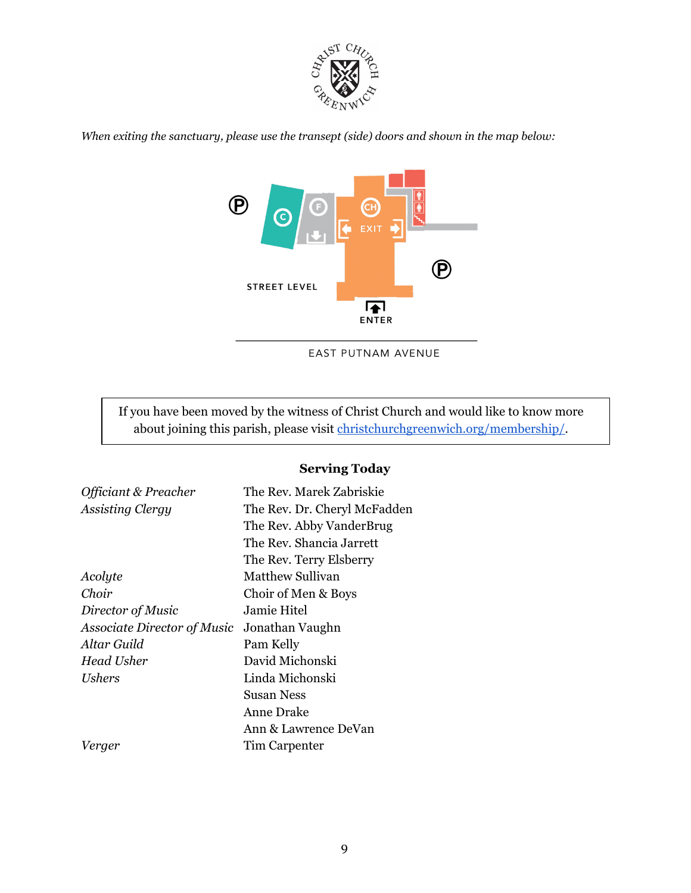

*When exiting the sanctuary, please use the transept (side) doors and shown in the map below:*



EAST PUTNAM AVENUE

If you have been moved by the witness of Christ Church and would like to know more about joining this parish, please visit [christchurchgreenwich.org/membership/.](https://christchurchgreenwich.org/membership/)

# **Serving Today**

| Officiant & Preacher        | The Rev. Marek Zabriskie     |  |  |
|-----------------------------|------------------------------|--|--|
| <b>Assisting Clergy</b>     | The Rev. Dr. Cheryl McFadden |  |  |
|                             | The Rev. Abby VanderBrug     |  |  |
|                             | The Rev. Shancia Jarrett     |  |  |
|                             | The Rev. Terry Elsberry      |  |  |
| Acolyte                     | Matthew Sullivan             |  |  |
| Choir                       | Choir of Men & Boys          |  |  |
| Director of Music           | Jamie Hitel                  |  |  |
| Associate Director of Music | Jonathan Vaughn              |  |  |
| Altar Guild                 | Pam Kelly                    |  |  |
| Head Usher                  | David Michonski              |  |  |
| <i>Ushers</i>               | Linda Michonski              |  |  |
|                             | Susan Ness                   |  |  |
|                             | Anne Drake                   |  |  |
|                             | Ann & Lawrence DeVan         |  |  |
| Verger                      | Tim Carpenter                |  |  |
|                             |                              |  |  |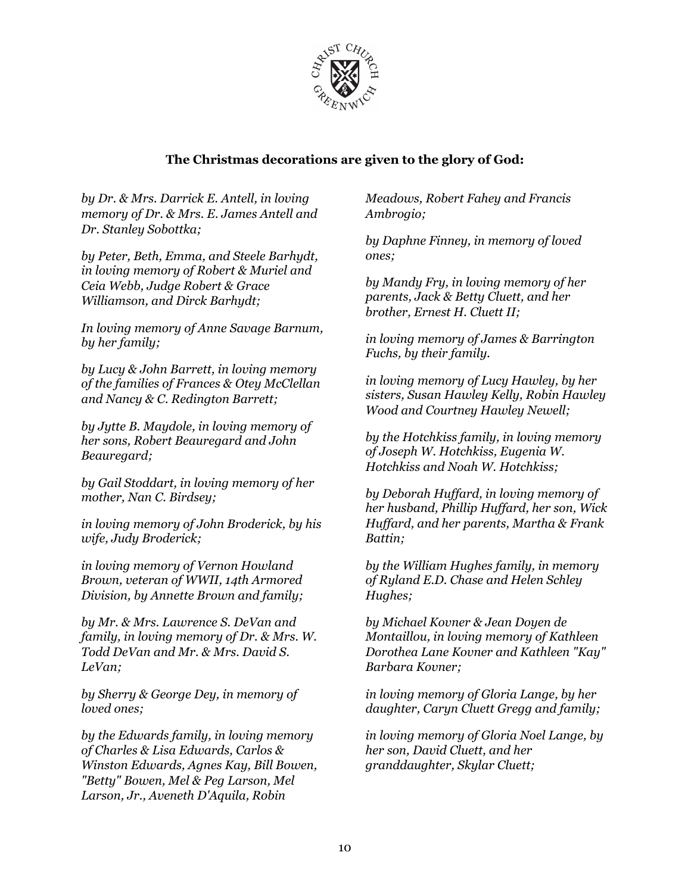

# **The Christmas decorations are given to the glory of God:**

*by Dr. & Mrs. Darrick E. Antell, in loving memory of Dr. & Mrs. E. James Antell and Dr. Stanley Sobottka;*

*by Peter, Beth, Emma, and Steele Barhydt, in loving memory of Robert & Muriel and Ceia Webb, Judge Robert & Grace Williamson, and Dirck Barhydt;*

*In loving memory of Anne Savage Barnum, by her family;*

*by Lucy & John Barrett, in loving memory of the families of Frances & Otey McClellan and Nancy & C. Redington Barrett;*

*by Jytte B. Maydole, in loving memory of her sons, Robert Beauregard and John Beauregard;*

*by Gail Stoddart, in loving memory of her mother, Nan C. Birdsey;*

*in loving memory of John Broderick, by his wife, Judy Broderick;*

*in loving memory of Vernon Howland Brown, veteran of WWII, 14th Armored Division, by Annette Brown and family;*

*by Mr. & Mrs. Lawrence S. DeVan and family, in loving memory of Dr. & Mrs. W. Todd DeVan and Mr. & Mrs. David S. LeVan;*

*by Sherry & George Dey, in memory of loved ones;*

*by the Edwards family, in loving memory of Charles & Lisa Edwards, Carlos & Winston Edwards, Agnes Kay, Bill Bowen, "Betty" Bowen, Mel & Peg Larson, Mel Larson, Jr., Aveneth D'Aquila, Robin*

*Meadows, Robert Fahey and Francis Ambrogio;*

*by Daphne Finney, in memory of loved ones;*

*by Mandy Fry, in loving memory of her parents, Jack & Betty Cluett, and her brother, Ernest H. Cluett II;*

*in loving memory of James & Barrington Fuchs, by their family.*

*in loving memory of Lucy Hawley, by her sisters, Susan Hawley Kelly, Robin Hawley Wood and Courtney Hawley Newell;*

*by the Hotchkiss family, in loving memory of Joseph W. Hotchkiss, Eugenia W. Hotchkiss and Noah W. Hotchkiss;*

*by Deborah Huf ard, in loving memory of her husband, Phillip Huf ard, her son, Wick Huf ard, and her parents, Martha & Frank Battin;*

*by the William Hughes family, in memory of Ryland E.D. Chase and Helen Schley Hughes;*

*by Michael Kovner & Jean Doyen de Montaillou, in loving memory of Kathleen Dorothea Lane Kovner and Kathleen "Kay" Barbara Kovner;*

*in loving memory of Gloria Lange, by her daughter, Caryn Cluett Gregg and family;*

*in loving memory of Gloria Noel Lange, by her son, David Cluett, and her granddaughter, Skylar Cluett;*